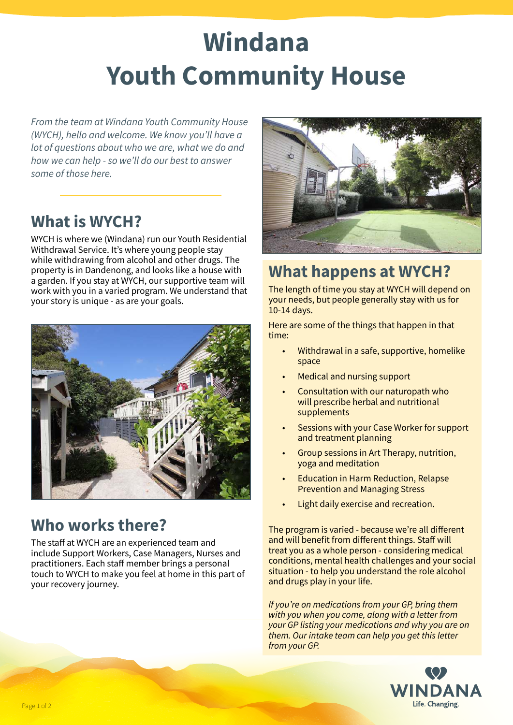# **Windana Youth Community House**

*From the team at Windana Youth Community House (WYCH), hello and welcome. We know you'll have a lot of questions about who we are, what we do and how we can help - so we'll do our best to answer some of those here.*

### **What is WYCH?**

WYCH is where we (Windana) run our Youth Residential Withdrawal Service. It's where young people stay while withdrawing from alcohol and other drugs. The property is in Dandenong, and looks like a house with a garden. If you stay at WYCH, our supportive team will work with you in a varied program. We understand that your story is unique - as are your goals.



## **Who works there?**

The staff at WYCH are an experienced team and include Support Workers, Case Managers, Nurses and practitioners. Each staff member brings a personal touch to WYCH to make you feel at home in this part of your recovery journey.



# **What happens at WYCH?**

The length of time you stay at WYCH will depend on your needs, but people generally stay with us for 10-14 days.

Here are some of the things that happen in that time:

- Withdrawal in a safe, supportive, homelike space
- Medical and nursing support
- Consultation with our naturopath who will prescribe herbal and nutritional supplements
- Sessions with your Case Worker for support and treatment planning
- Group sessions in Art Therapy, nutrition, yoga and meditation
- Education in Harm Reduction, Relapse Prevention and Managing Stress
- Light daily exercise and recreation.

The program is varied - because we're all different and will benefit from different things. Staff will treat you as a whole person - considering medical conditions, mental health challenges and your social situation - to help you understand the role alcohol and drugs play in your life.

*If you're on medications from your GP, bring them with you when you come, along with a letter from your GP listing your medications and why you are on them. Our intake team can help you get this letter from your GP.*